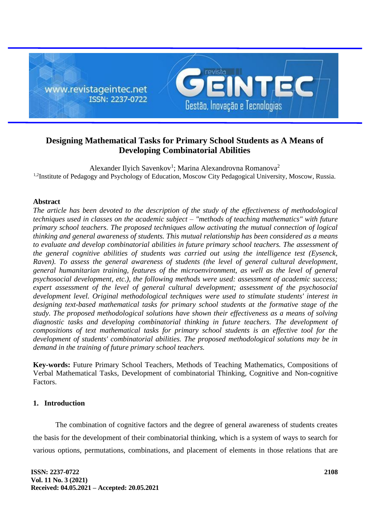

# **Designing Mathematical Tasks for Primary School Students as A Means of Developing Combinatorial Abilities**

Alexander Ilyich Savenkov<sup>1</sup>; Marina Alexandrovna Romanova<sup>2</sup> <sup>1,2</sup>Institute of Pedagogy and Psychology of Education, Moscow City Pedagogical University, Moscow, Russia.

## **Abstract**

*The article has been devoted to the description of the study of the effectiveness of methodological techniques used in classes on the academic subject – "methods of teaching mathematics" with future primary school teachers. The proposed techniques allow activating the mutual connection of logical thinking and general awareness of students. This mutual relationship has been considered as a means to evaluate and develop combinatorial abilities in future primary school teachers. The assessment of the general cognitive abilities of students was carried out using the intelligence test (Eysenck, Raven). To assess the general awareness of students (the level of general cultural development, general humanitarian training, features of the microenvironment, as well as the level of general psychosocial development, etc.), the following methods were used: assessment of academic success; expert assessment of the level of general cultural development; assessment of the psychosocial development level. Original methodological techniques were used to stimulate students' interest in designing text-based mathematical tasks for primary school students at the formative stage of the study. The proposed methodological solutions have shown their effectiveness as a means of solving diagnostic tasks and developing combinatorial thinking in future teachers. The development of compositions of text mathematical tasks for primary school students is an effective tool for the development of students' combinatorial abilities. The proposed methodological solutions may be in demand in the training of future primary school teachers.*

**Key-words:** Future Primary School Teachers, Methods of Teaching Mathematics, Compositions of Verbal Mathematical Tasks, Development of combinatorial Thinking, Cognitive and Non-cognitive Factors.

#### **1. Introduction**

The combination of cognitive factors and the degree of general awareness of students creates the basis for the development of their combinatorial thinking, which is a system of ways to search for various options, permutations, combinations, and placement of elements in those relations that are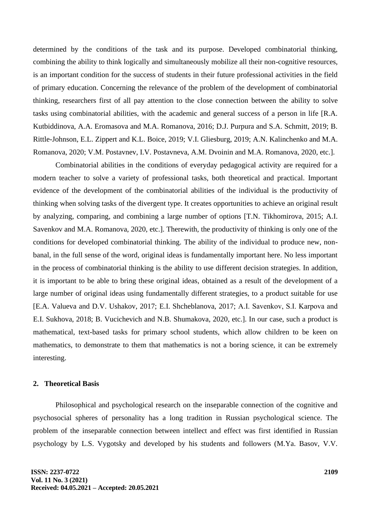determined by the conditions of the task and its purpose. Developed combinatorial thinking, combining the ability to think logically and simultaneously mobilize all their non-cognitive resources, is an important condition for the success of students in their future professional activities in the field of primary education. Concerning the relevance of the problem of the development of combinatorial thinking, researchers first of all pay attention to the close connection between the ability to solve tasks using combinatorial abilities, with the academic and general success of a person in life [R.A. Kutbiddinova, A.A. Eromasova and M.A. Romanova, 2016; D.J. Purpura and S.A. Schmitt, 2019; B. Rittle-Johnson, E.L. Zippert and K.L. Boice, 2019; V.I. Gliesburg, 2019; A.N. Kalinchenko and M.A. Romanova, 2020; V.M. Postavnev, I.V. Postavneva, A.M. Dvoinin and M.A. Romanova, 2020, etc.].

Combinatorial abilities in the conditions of everyday pedagogical activity are required for a modern teacher to solve a variety of professional tasks, both theoretical and practical. Important evidence of the development of the combinatorial abilities of the individual is the productivity of thinking when solving tasks of the divergent type. It creates opportunities to achieve an original result by analyzing, comparing, and combining a large number of options [T.N. Tikhomirova, 2015; A.I. Savenkov and M.A. Romanova, 2020, etc.]. Therewith, the productivity of thinking is only one of the conditions for developed combinatorial thinking. The ability of the individual to produce new, nonbanal, in the full sense of the word, original ideas is fundamentally important here. No less important in the process of combinatorial thinking is the ability to use different decision strategies. In addition, it is important to be able to bring these original ideas, obtained as a result of the development of a large number of original ideas using fundamentally different strategies, to a product suitable for use [E.A. Valueva and D.V. Ushakov, 2017; E.I. Shcheblanova, 2017; А.I. Savenkov, S.I. Karpova and E.I. Sukhova, 2018; B. Vucichevich and N.B. Shumakova, 2020, etc.]. In our case, such a product is mathematical, text-based tasks for primary school students, which allow children to be keen on mathematics, to demonstrate to them that mathematics is not a boring science, it can be extremely interesting.

#### **2. Theoretical Basis**

Philosophical and psychological research on the inseparable connection of the cognitive and psychosocial spheres of personality has a long tradition in Russian psychological science. The problem of the inseparable connection between intellect and effect was first identified in Russian psychology by L.S. Vygotsky and developed by his students and followers (M.Ya. Basov, V.V.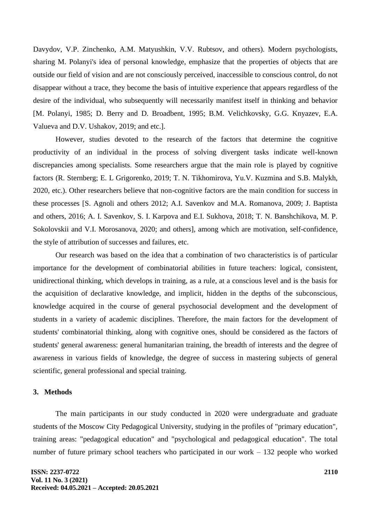Davydov, V.P. Zinchenko, A.M. Matyushkin, V.V. Rubtsov, and others). Modern psychologists, sharing M. Polanyi's idea of personal knowledge, emphasize that the properties of objects that are outside our field of vision and are not consciously perceived, inaccessible to conscious control, do not disappear without a trace, they become the basis of intuitive experience that appears regardless of the desire of the individual, who subsequently will necessarily manifest itself in thinking and behavior [M. Polanyi, 1985; D. Berry and D. Broadbent, 1995; B.M. Velichkovsky, G.G. Knyazev, E.A. Valueva and D.V. Ushakov, 2019; and etc.].

However, studies devoted to the research of the factors that determine the cognitive productivity of an individual in the process of solving divergent tasks indicate well-known discrepancies among specialists. Some researchers argue that the main role is played by cognitive factors (R. Sternberg; E. L Grigorenko, 2019; T. N. Tikhomirova, Yu.V. Kuzmina and S.B. Malykh, 2020, etc.). Other researchers believe that non-cognitive factors are the main condition for success in these processes [S. Agnoli and others 2012; A.I. Savenkov and M.A. Romanova, 2009; J. Baptista and others, 2016; A. I. Savenkov, S. I. Karpova and E.I. Sukhova, 2018; T. N. Banshchikova, M. P. Sokolovskii and V.I. Morosanova, 2020; and others], among which are motivation, self-confidence, the style of attribution of successes and failures, etc.

Our research was based on the idea that a combination of two characteristics is of particular importance for the development of combinatorial abilities in future teachers: logical, consistent, unidirectional thinking, which develops in training, as a rule, at a conscious level and is the basis for the acquisition of declarative knowledge, and implicit, hidden in the depths of the subconscious, knowledge acquired in the course of general psychosocial development and the development of students in a variety of academic disciplines. Therefore, the main factors for the development of students' combinatorial thinking, along with cognitive ones, should be considered as the factors of students' general awareness: general humanitarian training, the breadth of interests and the degree of awareness in various fields of knowledge, the degree of success in mastering subjects of general scientific, general professional and special training.

#### **3. Methods**

The main participants in our study conducted in 2020 were undergraduate and graduate students of the Moscow City Pedagogical University, studying in the profiles of "primary education", training areas: "pedagogical education" and "psychological and pedagogical education". The total number of future primary school teachers who participated in our work – 132 people who worked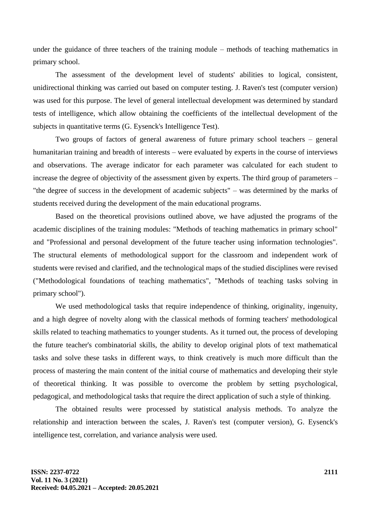under the guidance of three teachers of the training module – methods of teaching mathematics in primary school.

The assessment of the development level of students' abilities to logical, consistent, unidirectional thinking was carried out based on computer testing. J. Raven's test (computer version) was used for this purpose. The level of general intellectual development was determined by standard tests of intelligence, which allow obtaining the coefficients of the intellectual development of the subjects in quantitative terms (G. Eysenck's Intelligence Test).

Two groups of factors of general awareness of future primary school teachers – general humanitarian training and breadth of interests – were evaluated by experts in the course of interviews and observations. The average indicator for each parameter was calculated for each student to increase the degree of objectivity of the assessment given by experts. The third group of parameters – "the degree of success in the development of academic subjects" – was determined by the marks of students received during the development of the main educational programs.

Based on the theoretical provisions outlined above, we have adjusted the programs of the academic disciplines of the training modules: "Methods of teaching mathematics in primary school" and "Professional and personal development of the future teacher using information technologies". The structural elements of methodological support for the classroom and independent work of students were revised and clarified, and the technological maps of the studied disciplines were revised ("Methodological foundations of teaching mathematics", "Methods of teaching tasks solving in primary school").

We used methodological tasks that require independence of thinking, originality, ingenuity, and a high degree of novelty along with the classical methods of forming teachers' methodological skills related to teaching mathematics to younger students. As it turned out, the process of developing the future teacher's combinatorial skills, the ability to develop original plots of text mathematical tasks and solve these tasks in different ways, to think creatively is much more difficult than the process of mastering the main content of the initial course of mathematics and developing their style of theoretical thinking. It was possible to overcome the problem by setting psychological, pedagogical, and methodological tasks that require the direct application of such a style of thinking.

The obtained results were processed by statistical analysis methods. To analyze the relationship and interaction between the scales, J. Raven's test (computer version), G. Eysenck's intelligence test, correlation, and variance analysis were used.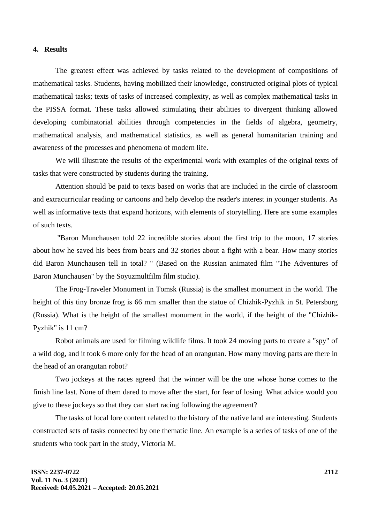### **4. Results**

The greatest effect was achieved by tasks related to the development of compositions of mathematical tasks. Students, having mobilized their knowledge, constructed original plots of typical mathematical tasks; texts of tasks of increased complexity, as well as complex mathematical tasks in the PISSA format. These tasks allowed stimulating their abilities to divergent thinking allowed developing combinatorial abilities through competencies in the fields of algebra, geometry, mathematical analysis, and mathematical statistics, as well as general humanitarian training and awareness of the processes and phenomena of modern life.

We will illustrate the results of the experimental work with examples of the original texts of tasks that were constructed by students during the training.

Attention should be paid to texts based on works that are included in the circle of classroom and extracurricular reading or cartoons and help develop the reader's interest in younger students. As well as informative texts that expand horizons, with elements of storytelling. Here are some examples of such texts.

"Baron Munchausen told 22 incredible stories about the first trip to the moon, 17 stories about how he saved his bees from bears and 32 stories about a fight with a bear. How many stories did Baron Munchausen tell in total? " (Based on the Russian animated film "The Adventures of Baron Munchausen" by the Soyuzmultfilm film studio).

The Frog-Traveler Monument in Tomsk (Russia) is the smallest monument in the world. The height of this tiny bronze frog is 66 mm smaller than the statue of Chizhik-Pyzhik in St. Petersburg (Russia). What is the height of the smallest monument in the world, if the height of the "Chizhik-Pyzhik" is 11 cm?

Robot animals are used for filming wildlife films. It took 24 moving parts to create a "spy" of a wild dog, and it took 6 more only for the head of an orangutan. How many moving parts are there in the head of an orangutan robot?

Two jockeys at the races agreed that the winner will be the one whose horse comes to the finish line last. None of them dared to move after the start, for fear of losing. What advice would you give to these jockeys so that they can start racing following the agreement?

The tasks of local lore content related to the history of the native land are interesting. Students constructed sets of tasks connected by one thematic line. An example is a series of tasks of one of the students who took part in the study, Victoria M.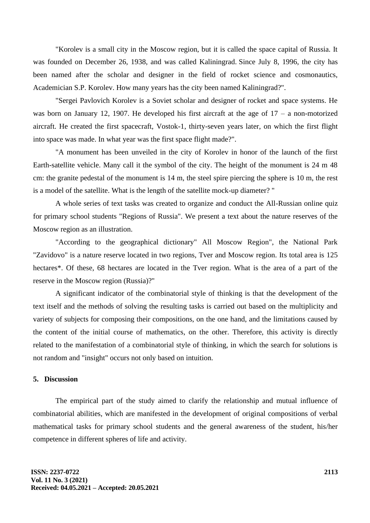"Korolev is a small city in the Moscow region, but it is called the space capital of Russia. It was founded on December 26, 1938, and was called Kaliningrad. Since July 8, 1996, the city has been named after the scholar and designer in the field of rocket science and cosmonautics, Academician S.P. Korolev. How many years has the city been named Kaliningrad?".

"Sergei Pavlovich Korolev is a Soviet scholar and designer of rocket and space systems. He was born on January 12, 1907. He developed his first aircraft at the age of  $17 - a$  non-motorized aircraft. He created the first spacecraft, Vostok-1, thirty-seven years later, on which the first flight into space was made. In what year was the first space flight made?".

"A monument has been unveiled in the city of Korolev in honor of the launch of the first Earth-satellite vehicle. Many call it the symbol of the city. The height of the monument is 24 m 48 cm: the granite pedestal of the monument is 14 m, the steel spire piercing the sphere is 10 m, the rest is a model of the satellite. What is the length of the satellite mock-up diameter? "

A whole series of text tasks was created to organize and conduct the All-Russian online quiz for primary school students "Regions of Russia". We present a text about the nature reserves of the Moscow region as an illustration.

"According to the geographical dictionary" All Moscow Region", the National Park "Zavidovo" is a nature reserve located in two regions, Tver and Moscow region. Its total area is 125 hectares\*. Of these, 68 hectares are located in the Tver region. What is the area of a part of the reserve in the Moscow region (Russia)?"

A significant indicator of the combinatorial style of thinking is that the development of the text itself and the methods of solving the resulting tasks is carried out based on the multiplicity and variety of subjects for composing their compositions, on the one hand, and the limitations caused by the content of the initial course of mathematics, on the other. Therefore, this activity is directly related to the manifestation of a combinatorial style of thinking, in which the search for solutions is not random and "insight" occurs not only based on intuition.

## **5. Discussion**

The empirical part of the study aimed to clarify the relationship and mutual influence of combinatorial abilities, which are manifested in the development of original compositions of verbal mathematical tasks for primary school students and the general awareness of the student, his/her competence in different spheres of life and activity.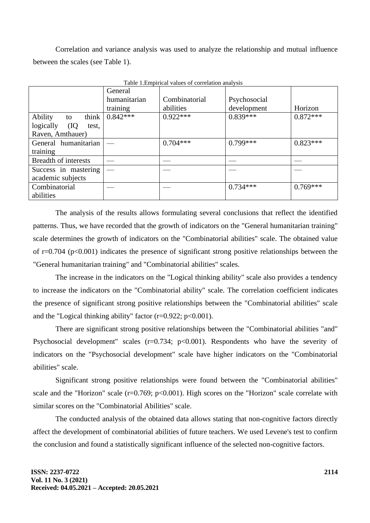Correlation and variance analysis was used to analyze the relationship and mutual influence between the scales (see Table 1).

|                              | General      | Table 1. Empirical values of correlation and vsfs |              |            |
|------------------------------|--------------|---------------------------------------------------|--------------|------------|
|                              | humanitarian | Combinatorial                                     | Psychosocial |            |
|                              | training     | abilities                                         | development  | Horizon    |
| Ability<br>think<br>to       | $0.842***$   | $0.922***$                                        | $0.839***$   | $0.872***$ |
| logically<br>$($ IQ<br>test, |              |                                                   |              |            |
| Raven, Amthauer)             |              |                                                   |              |            |
| General humanitarian         |              | $0.704***$                                        | $0.799***$   | $0.823***$ |
| training                     |              |                                                   |              |            |
| <b>Breadth of interests</b>  |              |                                                   |              |            |
| Success in mastering         |              |                                                   |              |            |
| academic subjects            |              |                                                   |              |            |
| Combinatorial                |              |                                                   | $0.734***$   | $0.769***$ |
| abilities                    |              |                                                   |              |            |

Table 1.Empirical values of correlation analysis

The analysis of the results allows formulating several conclusions that reflect the identified patterns. Thus, we have recorded that the growth of indicators on the "General humanitarian training" scale determines the growth of indicators on the "Combinatorial abilities" scale. The obtained value of  $r=0.704$  ( $p<0.001$ ) indicates the presence of significant strong positive relationships between the "General humanitarian training" and "Combinatorial abilities" scales.

The increase in the indicators on the "Logical thinking ability" scale also provides a tendency to increase the indicators on the "Combinatorial ability" scale. The correlation coefficient indicates the presence of significant strong positive relationships between the "Combinatorial abilities" scale and the "Logical thinking ability" factor  $(r=0.922; p<0.001)$ .

There are significant strong positive relationships between the "Combinatorial abilities "and" Psychosocial development" scales  $(r=0.734; p<0.001)$ . Respondents who have the severity of indicators on the "Psychosocial development" scale have higher indicators on the "Combinatorial abilities" scale.

Significant strong positive relationships were found between the "Combinatorial abilities" scale and the "Horizon" scale  $(r=0.769; p<0.001)$ . High scores on the "Horizon" scale correlate with similar scores on the "Combinatorial Abilities" scale.

The conducted analysis of the obtained data allows stating that non-cognitive factors directly affect the development of combinatorial abilities of future teachers. We used Levene's test to confirm the conclusion and found a statistically significant influence of the selected non-cognitive factors.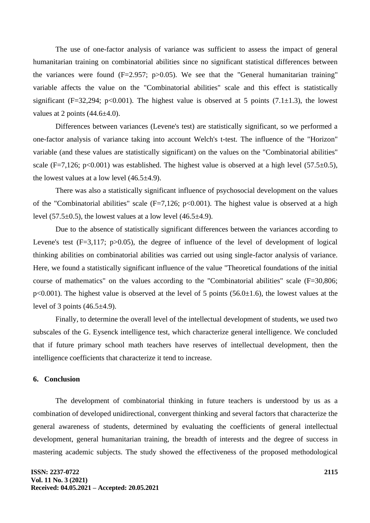The use of one-factor analysis of variance was sufficient to assess the impact of general humanitarian training on combinatorial abilities since no significant statistical differences between the variances were found  $(F=2.957; p>0.05)$ . We see that the "General humanitarian training" variable affects the value on the "Combinatorial abilities" scale and this effect is statistically significant (F=32,294; p<0.001). The highest value is observed at 5 points (7.1 $\pm$ 1.3), the lowest values at 2 points  $(44.6\pm4.0)$ .

Differences between variances (Levene's test) are statistically significant, so we performed a one-factor analysis of variance taking into account Welch's t-test. The influence of the "Horizon" variable (and these values are statistically significant) on the values on the "Combinatorial abilities" scale (F=7,126; p<0.001) was established. The highest value is observed at a high level (57.5 $\pm$ 0.5), the lowest values at a low level  $(46.5\pm4.9)$ .

There was also a statistically significant influence of psychosocial development on the values of the "Combinatorial abilities" scale  $(F=7,126; p<0.001)$ . The highest value is observed at a high level (57.5 $\pm$ 0.5), the lowest values at a low level (46.5 $\pm$ 4.9).

Due to the absence of statistically significant differences between the variances according to Levene's test  $(F=3,117; p>0.05)$ , the degree of influence of the level of development of logical thinking abilities on combinatorial abilities was carried out using single-factor analysis of variance. Here, we found a statistically significant influence of the value "Theoretical foundations of the initial course of mathematics" on the values according to the "Combinatorial abilities" scale (F=30,806;  $p<0.001$ ). The highest value is observed at the level of 5 points (56.0 $\pm$ 1.6), the lowest values at the level of 3 points  $(46.5\pm4.9)$ .

Finally, to determine the overall level of the intellectual development of students, we used two subscales of the G. Eysenck intelligence test, which characterize general intelligence. We concluded that if future primary school math teachers have reserves of intellectual development, then the intelligence coefficients that characterize it tend to increase.

## **6. Conclusion**

The development of combinatorial thinking in future teachers is understood by us as a combination of developed unidirectional, convergent thinking and several factors that characterize the general awareness of students, determined by evaluating the coefficients of general intellectual development, general humanitarian training, the breadth of interests and the degree of success in mastering academic subjects. The study showed the effectiveness of the proposed methodological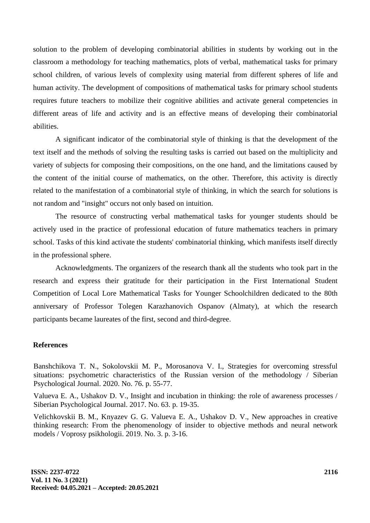solution to the problem of developing combinatorial abilities in students by working out in the classroom a methodology for teaching mathematics, plots of verbal, mathematical tasks for primary school children, of various levels of complexity using material from different spheres of life and human activity. The development of compositions of mathematical tasks for primary school students requires future teachers to mobilize their cognitive abilities and activate general competencies in different areas of life and activity and is an effective means of developing their combinatorial abilities.

A significant indicator of the combinatorial style of thinking is that the development of the text itself and the methods of solving the resulting tasks is carried out based on the multiplicity and variety of subjects for composing their compositions, on the one hand, and the limitations caused by the content of the initial course of mathematics, on the other. Therefore, this activity is directly related to the manifestation of a combinatorial style of thinking, in which the search for solutions is not random and "insight" occurs not only based on intuition.

The resource of constructing verbal mathematical tasks for younger students should be actively used in the practice of professional education of future mathematics teachers in primary school. Tasks of this kind activate the students' combinatorial thinking, which manifests itself directly in the professional sphere.

Acknowledgments. The organizers of the research thank all the students who took part in the research and express their gratitude for their participation in the First International Student Competition of Local Lore Mathematical Tasks for Younger Schoolchildren dedicated to the 80th anniversary of Professor Tolegen Karazhanovich Ospanov (Almaty), at which the research participants became laureates of the first, second and third-degree.

## **References**

Banshchikova T. N., Sokolovskii M. P., Morosanova V. I., Strategies for overcoming stressful situations: psychometric characteristics of the Russian version of the methodology / Siberian Psychological Journal. 2020. No. 76. p. 55-77.

Valueva E. A., Ushakov D. V., Insight and incubation in thinking: the role of awareness processes / Siberian Psychological Journal. 2017. No. 63. p. 19-35.

Velichkovskii B. M., Knyazev G. G. Valueva E. A., Ushakov D. V., New approaches in creative thinking research: From the phenomenology of insider to objective methods and neural network models / Voprosy psikhologii. 2019. No. 3. p. 3-16.